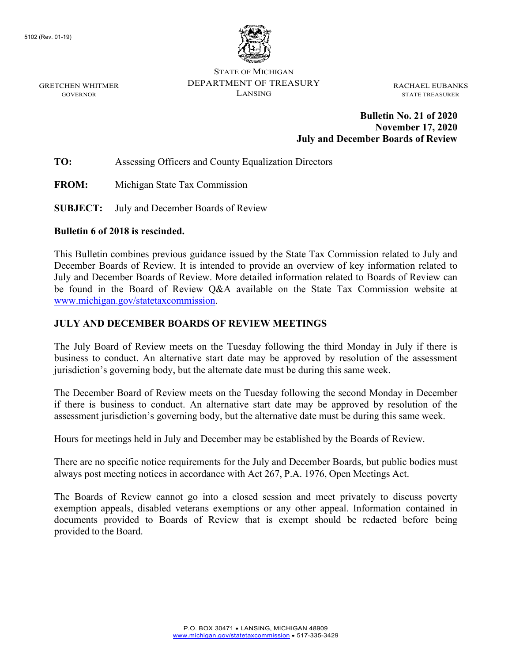GRETCHEN WHITMER GOVERNOR



STATE OF MICHIGAN DEPARTMENT OF TREASURY LANSING

RACHAEL EUBANKS STATE TREASURER

### **Bulletin No. 21 of 2020 November 17, 2020 July and December Boards of Review**

**TO:** Assessing Officers and County Equalization Directors

**FROM:** Michigan State Tax Commission

**SUBJECT:** July and December Boards of Review

#### **Bulletin 6 of 2018 is rescinded.**

This Bulletin combines previous guidance issued by the State Tax Commission related to July and December Boards of Review. It is intended to provide an overview of key information related to July and December Boards of Review. More detailed information related to Boards of Review can be found in the Board of Review Q&A available on the State Tax Commission website at [www.michigan.gov/statetaxcommission.](https://www.michigan.gov/statetaxcommission)

#### **JULY AND DECEMBER BOARDS OF REVIEW MEETINGS**

The July Board of Review meets on the Tuesday following the third Monday in July if there is business to conduct. An alternative start date may be approved by resolution of the assessment jurisdiction's governing body, but the alternate date must be during this same week.

The December Board of Review meets on the Tuesday following the second Monday in December if there is business to conduct. An alternative start date may be approved by resolution of the assessment jurisdiction's governing body, but the alternative date must be during this same week.

Hours for meetings held in July and December may be established by the Boards of Review.

There are no specific notice requirements for the July and December Boards, but public bodies must always post meeting notices in accordance with Act 267, P.A. 1976, Open Meetings Act.

The Boards of Review cannot go into a closed session and meet privately to discuss poverty exemption appeals, disabled veterans exemptions or any other appeal. Information contained in documents provided to Boards of Review that is exempt should be redacted before being provided to the Board.

> P.O. BOX 30471 • LANSING, MICHIGAN 48909 [www.michigan.gov/statetaxcommission](http://www.michigan.gov/statetaxcommission) • 517-335-3429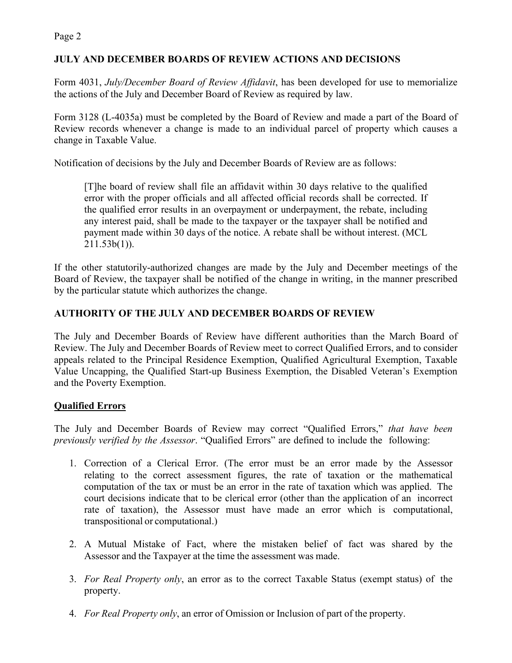Page 2

## **JULY AND DECEMBER BOARDS OF REVIEW ACTIONS AND DECISIONS**

Form 4031, *July/December Board of Review Affidavit*, has been developed for use to memorialize the actions of the July and December Board of Review as required by law.

Form 3128 (L-4035a) must be completed by the Board of Review and made a part of the Board of Review records whenever a change is made to an individual parcel of property which causes a change in Taxable Value.

Notification of decisions by the July and December Boards of Review are as follows:

[T]he board of review shall file an affidavit within 30 days relative to the qualified error with the proper officials and all affected official records shall be corrected. If the qualified error results in an overpayment or underpayment, the rebate, including any interest paid, shall be made to the taxpayer or the taxpayer shall be notified and payment made within 30 days of the notice. A rebate shall be without interest. (MCL  $211.53b(1)$ ).

If the other statutorily-authorized changes are made by the July and December meetings of the Board of Review, the taxpayer shall be notified of the change in writing, in the manner prescribed by the particular statute which authorizes the change.

# **AUTHORITY OF THE JULY AND DECEMBER BOARDS OF REVIEW**

The July and December Boards of Review have different authorities than the March Board of Review. The July and December Boards of Review meet to correct Qualified Errors, and to consider appeals related to the Principal Residence Exemption, Qualified Agricultural Exemption, Taxable Value Uncapping, the Qualified Start-up Business Exemption, the Disabled Veteran's Exemption and the Poverty Exemption.

## **Qualified Errors**

The July and December Boards of Review may correct "Qualified Errors," *that have been previously verified by the Assessor*. "Qualified Errors" are defined to include the following:

- 1. Correction of a Clerical Error. (The error must be an error made by the Assessor relating to the correct assessment figures, the rate of taxation or the mathematical computation of the tax or must be an error in the rate of taxation which was applied. The court decisions indicate that to be clerical error (other than the application of an incorrect rate of taxation), the Assessor must have made an error which is computational, transpositional or computational.)
- 2. A Mutual Mistake of Fact, where the mistaken belief of fact was shared by the Assessor and the Taxpayer at the time the assessment was made.
- 3. *For Real Property only*, an error as to the correct Taxable Status (exempt status) of the property.
- 4. *For Real Property only*, an error of Omission or Inclusion of part of the property.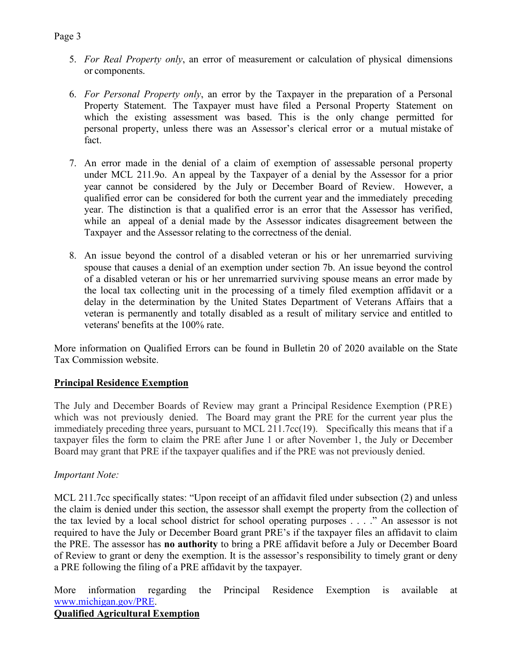- 5. *For Real Property only*, an error of measurement or calculation of physical dimensions or components.
- 6. *For Personal Property only*, an error by the Taxpayer in the preparation of a Personal Property Statement. The Taxpayer must have filed a Personal Property Statement on which the existing assessment was based. This is the only change permitted for personal property, unless there was an Assessor's clerical error or a mutual mistake of fact.
- 7. An error made in the denial of a claim of exemption of assessable personal property under MCL 211.9o. An appeal by the Taxpayer of a denial by the Assessor for a prior year cannot be considered by the July or December Board of Review. However, a qualified error can be considered for both the current year and the immediately preceding year. The distinction is that a qualified error is an error that the Assessor has verified, while an appeal of a denial made by the Assessor indicates disagreement between the Taxpayer and the Assessor relating to the correctness of the denial.
- 8. An issue beyond the control of a disabled veteran or his or her unremarried surviving spouse that causes a denial of an exemption under section 7b. An issue beyond the control of a disabled veteran or his or her unremarried surviving spouse means an error made by the local tax collecting unit in the processing of a timely filed exemption affidavit or a delay in the determination by the United States Department of Veterans Affairs that a veteran is permanently and totally disabled as a result of military service and entitled to veterans' benefits at the 100% rate.

More information on Qualified Errors can be found in Bulletin 20 of 2020 available on the State Tax Commission website.

## **Principal Residence Exemption**

The July and December Boards of Review may grant a Principal Residence Exemption (PRE) which was not previously denied. The Board may grant the PRE for the current year plus the immediately preceding three years, pursuant to MCL 211.7cc(19). Specifically this means that if a taxpayer files the form to claim the PRE after June 1 or after November 1, the July or December Board may grant that PRE if the taxpayer qualifies and if the PRE was not previously denied.

#### *Important Note:*

MCL 211.7cc specifically states: "Upon receipt of an affidavit filed under subsection (2) and unless the claim is denied under this section, the assessor shall exempt the property from the collection of the tax levied by a local school district for school operating purposes . . . ." An assessor is not required to have the July or December Board grant PRE's if the taxpayer files an affidavit to claim the PRE. The assessor has **no authority** to bring a PRE affidavit before a July or December Board of Review to grant or deny the exemption. It is the assessor's responsibility to timely grant or deny a PRE following the filing of a PRE affidavit by the taxpayer.

More information regarding the Principal Residence Exemption is available at [www.michigan.gov/PRE.](https://www.michigan.gov/PRE)

## **Qualified Agricultural Exemption**

#### Page 3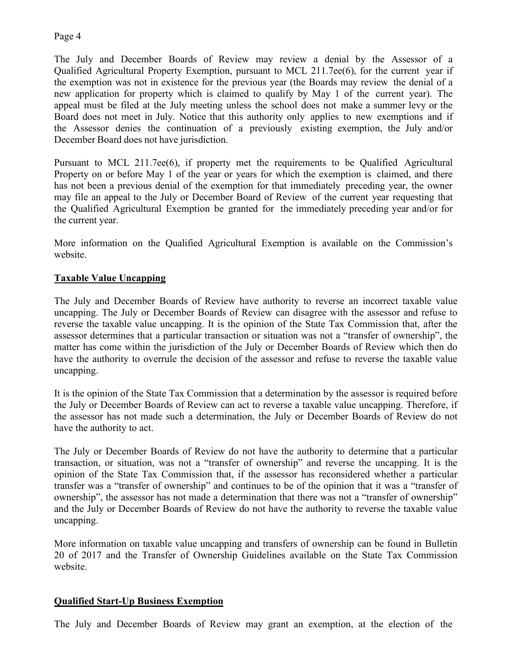### Page 4

The July and December Boards of Review may review a denial by the Assessor of a Qualified Agricultural Property Exemption, pursuant to MCL 211.7ee(6), for the current year if the exemption was not in existence for the previous year (the Boards may review the denial of a new application for property which is claimed to qualify by May 1 of the current year). The appeal must be filed at the July meeting unless the school does not make a summer levy or the Board does not meet in July. Notice that this authority only applies to new exemptions and if the Assessor denies the continuation of a previously existing exemption, the July and/or December Board does not have jurisdiction.

Pursuant to MCL 211.7ee(6), if property met the requirements to be Qualified Agricultural Property on or before May 1 of the year or years for which the exemption is claimed, and there has not been a previous denial of the exemption for that immediately preceding year, the owner may file an appeal to the July or December Board of Review of the current year requesting that the Qualified Agricultural Exemption be granted for the immediately preceding year and/or for the current year.

More information on the Qualified Agricultural Exemption is available on the Commission's website.

## **Taxable Value Uncapping**

The July and December Boards of Review have authority to reverse an incorrect taxable value uncapping. The July or December Boards of Review can disagree with the assessor and refuse to reverse the taxable value uncapping. It is the opinion of the State Tax Commission that, after the assessor determines that a particular transaction or situation was not a "transfer of ownership", the matter has come within the jurisdiction of the July or December Boards of Review which then do have the authority to overrule the decision of the assessor and refuse to reverse the taxable value uncapping.

It is the opinion of the State Tax Commission that a determination by the assessor is required before the July or December Boards of Review can act to reverse a taxable value uncapping. Therefore, if the assessor has not made such a determination, the July or December Boards of Review do not have the authority to act.

The July or December Boards of Review do not have the authority to determine that a particular transaction, or situation, was not a "transfer of ownership" and reverse the uncapping. It is the opinion of the State Tax Commission that, if the assessor has reconsidered whether a particular transfer was a "transfer of ownership" and continues to be of the opinion that it was a "transfer of ownership", the assessor has not made a determination that there was not a "transfer of ownership" and the July or December Boards of Review do not have the authority to reverse the taxable value uncapping.

More information on taxable value uncapping and transfers of ownership can be found in Bulletin 20 of 2017 and the Transfer of Ownership Guidelines available on the State Tax Commission website.

## **Qualified Start-Up Business Exemption**

The July and December Boards of Review may grant an exemption, at the election of the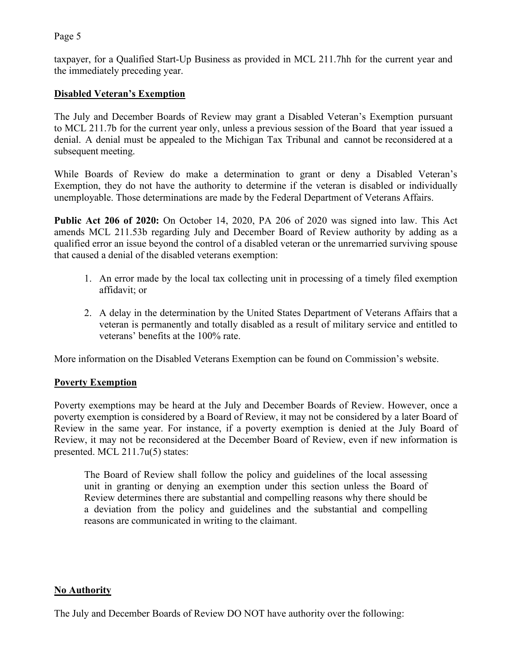## Page 5

taxpayer, for a Qualified Start-Up Business as provided in MCL 211.7hh for the current year and the immediately preceding year.

## **Disabled Veteran's Exemption**

The July and December Boards of Review may grant a Disabled Veteran's Exemption pursuant to MCL 211.7b for the current year only, unless a previous session of the Board that year issued a denial. A denial must be appealed to the Michigan Tax Tribunal and cannot be reconsidered at a subsequent meeting.

While Boards of Review do make a determination to grant or deny a Disabled Veteran's Exemption, they do not have the authority to determine if the veteran is disabled or individually unemployable. Those determinations are made by the Federal Department of Veterans Affairs.

**Public Act 206 of 2020:** On October 14, 2020, PA 206 of 2020 was signed into law. This Act amends MCL 211.53b regarding July and December Board of Review authority by adding as a qualified error an issue beyond the control of a disabled veteran or the unremarried surviving spouse that caused a denial of the disabled veterans exemption:

- 1. An error made by the local tax collecting unit in processing of a timely filed exemption affidavit; or
- 2. A delay in the determination by the United States Department of Veterans Affairs that a veteran is permanently and totally disabled as a result of military service and entitled to veterans' benefits at the 100% rate.

More information on the Disabled Veterans Exemption can be found on Commission's website.

## **Poverty Exemption**

Poverty exemptions may be heard at the July and December Boards of Review. However, once a poverty exemption is considered by a Board of Review, it may not be considered by a later Board of Review in the same year. For instance, if a poverty exemption is denied at the July Board of Review, it may not be reconsidered at the December Board of Review, even if new information is presented. MCL 211.7u(5) states:

The Board of Review shall follow the policy and guidelines of the local assessing unit in granting or denying an exemption under this section unless the Board of Review determines there are substantial and compelling reasons why there should be a deviation from the policy and guidelines and the substantial and compelling reasons are communicated in writing to the claimant.

#### **No Authority**

The July and December Boards of Review DO NOT have authority over the following: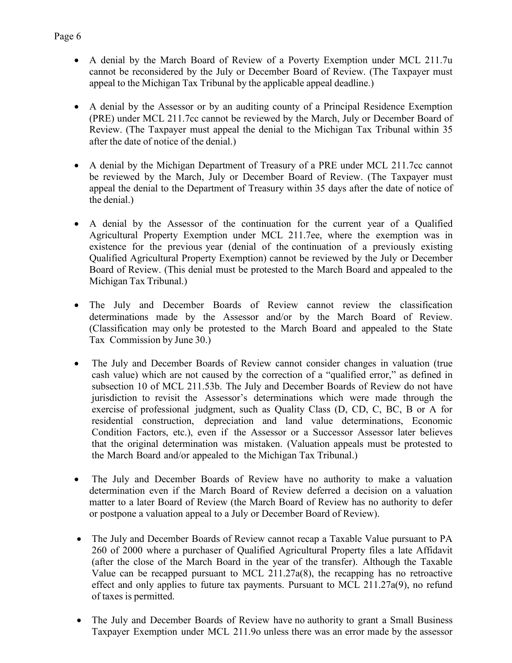- A denial by the March Board of Review of a Poverty Exemption under MCL 211.7u cannot be reconsidered by the July or December Board of Review. (The Taxpayer must appeal to the Michigan Tax Tribunal by the applicable appeal deadline.)
- A denial by the Assessor or by an auditing county of a Principal Residence Exemption (PRE) under MCL 211.7cc cannot be reviewed by the March, July or December Board of Review. (The Taxpayer must appeal the denial to the Michigan Tax Tribunal within 35 after the date of notice of the denial.)
- A denial by the Michigan Department of Treasury of a PRE under MCL 211.7cc cannot be reviewed by the March, July or December Board of Review. (The Taxpayer must appeal the denial to the Department of Treasury within 35 days after the date of notice of the denial.)
- A denial by the Assessor of the continuation for the current year of a Qualified Agricultural Property Exemption under MCL 211.7ee, where the exemption was in existence for the previous year (denial of the continuation of a previously existing Qualified Agricultural Property Exemption) cannot be reviewed by the July or December Board of Review. (This denial must be protested to the March Board and appealed to the Michigan Tax Tribunal.)
- The July and December Boards of Review cannot review the classification determinations made by the Assessor and/or by the March Board of Review. (Classification may only be protested to the March Board and appealed to the State Tax Commission by June 30.)
- The July and December Boards of Review cannot consider changes in valuation (true cash value) which are not caused by the correction of a "qualified error," as defined in subsection 10 of MCL 211.53b. The July and December Boards of Review do not have jurisdiction to revisit the Assessor's determinations which were made through the exercise of professional judgment, such as Quality Class (D, CD, C, BC, B or A for residential construction, depreciation and land value determinations, Economic Condition Factors, etc.), even if the Assessor or a Successor Assessor later believes that the original determination was mistaken. (Valuation appeals must be protested to the March Board and/or appealed to the Michigan Tax Tribunal.)
- The July and December Boards of Review have no authority to make a valuation determination even if the March Board of Review deferred a decision on a valuation matter to a later Board of Review (the March Board of Review has no authority to defer or postpone a valuation appeal to a July or December Board of Review).
- The July and December Boards of Review cannot recap a Taxable Value pursuant to PA 260 of 2000 where a purchaser of Qualified Agricultural Property files a late Affidavit (after the close of the March Board in the year of the transfer). Although the Taxable Value can be recapped pursuant to MCL 211.27a(8), the recapping has no retroactive effect and only applies to future tax payments. Pursuant to MCL 211.27a(9), no refund of taxes is permitted.
- The July and December Boards of Review have no authority to grant a Small Business Taxpayer Exemption under MCL 211.9o unless there was an error made by the assessor